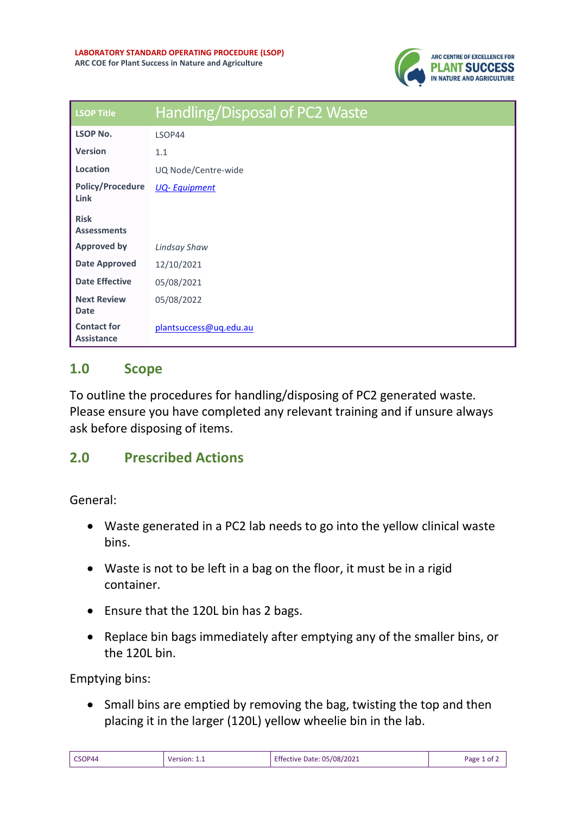

| <b>LSOP Title</b>                       | Handling/Disposal of PC2 Waste |
|-----------------------------------------|--------------------------------|
| <b>LSOP No.</b>                         | LSOP44                         |
| <b>Version</b>                          | 1.1                            |
| Location                                | UQ Node/Centre-wide            |
| <b>Policy/Procedure</b><br><b>Link</b>  | <b>UQ-Equipment</b>            |
| <b>Risk</b><br><b>Assessments</b>       |                                |
| <b>Approved by</b>                      | <b>Lindsay Shaw</b>            |
| <b>Date Approved</b>                    | 12/10/2021                     |
| <b>Date Effective</b>                   | 05/08/2021                     |
| <b>Next Review</b><br><b>Date</b>       | 05/08/2022                     |
| <b>Contact for</b><br><b>Assistance</b> | plantsuccess@ug.edu.au         |

## **1.0 Scope**

To outline the procedures for handling/disposing of PC2 generated waste. Please ensure you have completed any relevant training and if unsure always ask before disposing of items.

## **2.0 Prescribed Actions**

General:

- Waste generated in a PC2 lab needs to go into the yellow clinical waste bins.
- Waste is not to be left in a bag on the floor, it must be in a rigid container.
- Ensure that the 120L bin has 2 bags.
- Replace bin bags immediately after emptying any of the smaller bins, or the 120L bin.

Emptying bins:

• Small bins are emptied by removing the bag, twisting the top and then placing it in the larger (120L) yellow wheelie bin in the lab.

| CSOP44 | Version: 1.1 | Effective Date: 05/08/2021 | Page 1 of $\angle$ |
|--------|--------------|----------------------------|--------------------|
|--------|--------------|----------------------------|--------------------|